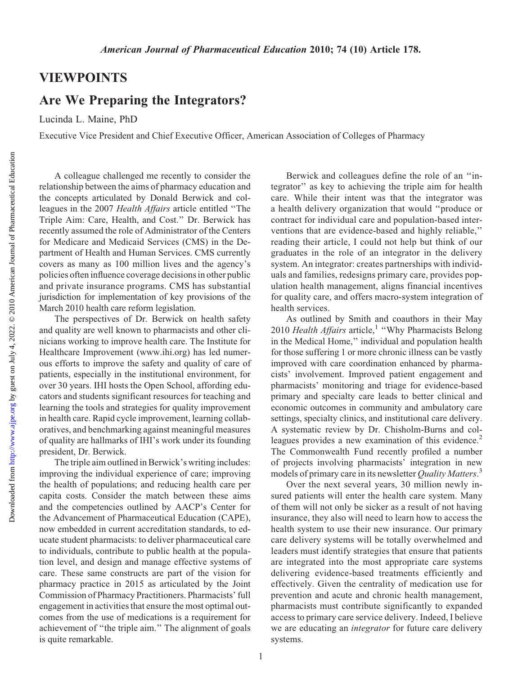## VIEWPOINTS

## Are We Preparing the Integrators?

Lucinda L. Maine, PhD

Executive Vice President and Chief Executive Officer, American Association of Colleges of Pharmacy

A colleague challenged me recently to consider the relationship between the aims of pharmacy education and the concepts articulated by Donald Berwick and colleagues in the 2007 Health Affairs article entitled ''The Triple Aim: Care, Health, and Cost.'' Dr. Berwick has recently assumed the role of Administrator of the Centers for Medicare and Medicaid Services (CMS) in the Department of Health and Human Services. CMS currently covers as many as 100 million lives and the agency's policies often influence coverage decisions in other public and private insurance programs. CMS has substantial jurisdiction for implementation of key provisions of the March 2010 health care reform legislation.

The perspectives of Dr. Berwick on health safety and quality are well known to pharmacists and other clinicians working to improve health care. The Institute for Healthcare Improvement (www.ihi.org) has led numerous efforts to improve the safety and quality of care of patients, especially in the institutional environment, for over 30 years. IHI hosts the Open School, affording educators and students significant resources for teaching and learning the tools and strategies for quality improvement in health care. Rapid cycle improvement, learning collaboratives, and benchmarking against meaningful measures of quality are hallmarks of IHI's work under its founding president, Dr. Berwick.

The triple aim outlined in Berwick's writing includes: improving the individual experience of care; improving the health of populations; and reducing health care per capita costs. Consider the match between these aims and the competencies outlined by AACP's Center for the Advancement of Pharmaceutical Education (CAPE), now embedded in current accreditation standards, to educate student pharmacists: to deliver pharmaceutical care to individuals, contribute to public health at the population level, and design and manage effective systems of care. These same constructs are part of the vision for pharmacy practice in 2015 as articulated by the Joint Commission of Pharmacy Practitioners. Pharmacists' full engagement in activities that ensure the most optimal outcomes from the use of medications is a requirement for achievement of ''the triple aim.'' The alignment of goals is quite remarkable.

Berwick and colleagues define the role of an ''integrator'' as key to achieving the triple aim for health care. While their intent was that the integrator was a health delivery organization that would ''produce or contract for individual care and population-based interventions that are evidence-based and highly reliable,'' reading their article, I could not help but think of our graduates in the role of an integrator in the delivery system. An integrator: creates partnerships with individuals and families, redesigns primary care, provides population health management, aligns financial incentives for quality care, and offers macro-system integration of health services.

As outlined by Smith and coauthors in their May 2010 Health Affairs article,<sup>1</sup> "Why Pharmacists Belong in the Medical Home,'' individual and population health for those suffering 1 or more chronic illness can be vastly improved with care coordination enhanced by pharmacists' involvement. Improved patient engagement and pharmacists' monitoring and triage for evidence-based primary and specialty care leads to better clinical and economic outcomes in community and ambulatory care settings, specialty clinics, and institutional care delivery. A systematic review by Dr. Chisholm-Burns and colleagues provides a new examination of this evidence.<sup>2</sup> The Commonwealth Fund recently profiled a number of projects involving pharmacists' integration in new models of primary care in its newsletter Quality Matters.<sup>3</sup>

Over the next several years, 30 million newly insured patients will enter the health care system. Many of them will not only be sicker as a result of not having insurance, they also will need to learn how to access the health system to use their new insurance. Our primary care delivery systems will be totally overwhelmed and leaders must identify strategies that ensure that patients are integrated into the most appropriate care systems delivering evidence-based treatments efficiently and effectively. Given the centrality of medication use for prevention and acute and chronic health management, pharmacists must contribute significantly to expanded access to primary care service delivery. Indeed, I believe we are educating an *integrator* for future care delivery systems.